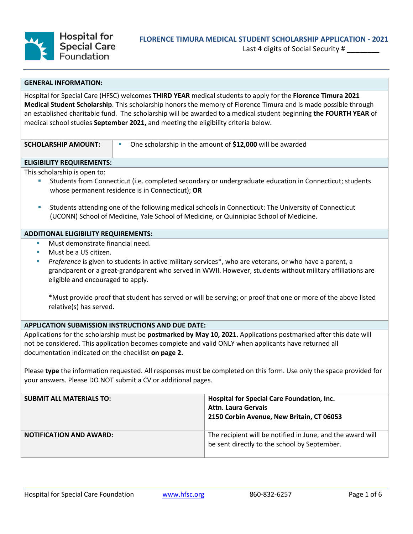

Last 4 digits of Social Security #

### **GENERAL INFORMATION:**

Hospital for Special Care (HFSC) welcomes **THIRD YEAR** medical students to apply for the **Florence Timura 2021 Medical Student Scholarship**. This scholarship honors the memory of Florence Timura and is made possible through an established charitable fund. The scholarship will be awarded to a medical student beginning **the FOURTH YEAR** of medical school studies **September 2021,** and meeting the eligibility criteria below.

| SCHOLARSHIP AMOUNT: | One scholarship in the amount of \$12,000 will be awarded |
|---------------------|-----------------------------------------------------------|

## **ELIGIBILITY REQUIREMENTS:**

This scholarship is open to:

- Students from Connecticut (i.e. completed secondary or undergraduate education in Connecticut; students whose permanent residence is in Connecticut); **OR**
- Students attending one of the following medical schools in Connecticut: The University of Connecticut (UCONN) School of Medicine, Yale School of Medicine, or Quinnipiac School of Medicine.

# **ADDITIONAL ELIGIBILITY REQUIREMENTS:**

- Must demonstrate financial need.
- Must be a US citizen.
- *Preference* is given to students in active military services\*, who are veterans, or who have a parent, a grandparent or a great-grandparent who served in WWII. However, students without military affiliations are eligible and encouraged to apply.

\*Must provide proof that student has served or will be serving; or proof that one or more of the above listed relative(s) has served.

### **APPLICATION SUBMISSION INSTRUCTIONS AND DUE DATE:**

Applications for the scholarship must be **postmarked by May 10, 2021**. Applications postmarked after this date will not be considered. This application becomes complete and valid ONLY when applicants have returned all documentation indicated on the checklist **on page 2.**

Please **type** the information requested. All responses must be completed on this form. Use only the space provided for your answers. Please DO NOT submit a CV or additional pages.

| <b>SUBMIT ALL MATERIALS TO:</b> | <b>Hospital for Special Care Foundation, Inc.</b><br><b>Attn. Laura Gervais</b><br>2150 Corbin Avenue, New Britain, CT 06053 |
|---------------------------------|------------------------------------------------------------------------------------------------------------------------------|
| <b>NOTIFICATION AND AWARD:</b>  | The recipient will be notified in June, and the award will<br>be sent directly to the school by September.                   |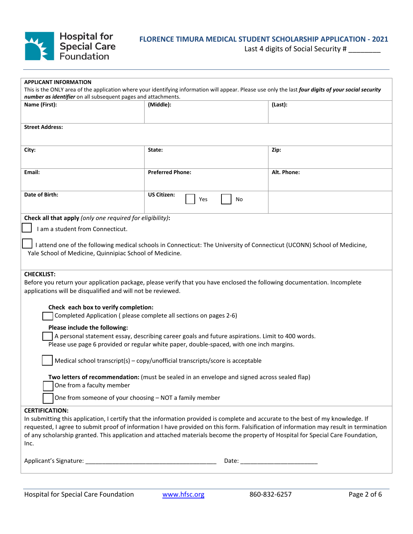

# **FLORENCE TIMURA MEDICAL STUDENT SCHOLARSHIP APPLICATION - 2021**

Last 4 digits of Social Security # \_\_\_\_\_\_\_\_

| <b>APPLICANT INFORMATION</b>                                                                                                                                                                                           |                                                                                                                                        |             |  |  |
|------------------------------------------------------------------------------------------------------------------------------------------------------------------------------------------------------------------------|----------------------------------------------------------------------------------------------------------------------------------------|-------------|--|--|
| This is the ONLY area of the application where your identifying information will appear. Please use only the last four digits of your social security<br>number as identifier on all subsequent pages and attachments. |                                                                                                                                        |             |  |  |
| Name (First):                                                                                                                                                                                                          | (Middle):                                                                                                                              | (Last):     |  |  |
|                                                                                                                                                                                                                        |                                                                                                                                        |             |  |  |
| <b>Street Address:</b>                                                                                                                                                                                                 |                                                                                                                                        |             |  |  |
|                                                                                                                                                                                                                        |                                                                                                                                        |             |  |  |
| City:                                                                                                                                                                                                                  | State:                                                                                                                                 | Zip:        |  |  |
|                                                                                                                                                                                                                        |                                                                                                                                        |             |  |  |
| Email:                                                                                                                                                                                                                 | <b>Preferred Phone:</b>                                                                                                                | Alt. Phone: |  |  |
|                                                                                                                                                                                                                        |                                                                                                                                        |             |  |  |
| Date of Birth:                                                                                                                                                                                                         | <b>US Citizen:</b><br>Yes<br>No                                                                                                        |             |  |  |
|                                                                                                                                                                                                                        |                                                                                                                                        |             |  |  |
| Check all that apply (only one required for eligibility):                                                                                                                                                              |                                                                                                                                        |             |  |  |
| I am a student from Connecticut.                                                                                                                                                                                       |                                                                                                                                        |             |  |  |
|                                                                                                                                                                                                                        | I attend one of the following medical schools in Connecticut: The University of Connecticut (UCONN) School of Medicine,                |             |  |  |
| Yale School of Medicine, Quinnipiac School of Medicine.                                                                                                                                                                |                                                                                                                                        |             |  |  |
|                                                                                                                                                                                                                        |                                                                                                                                        |             |  |  |
| <b>CHECKLIST:</b>                                                                                                                                                                                                      |                                                                                                                                        |             |  |  |
|                                                                                                                                                                                                                        | Before you return your application package, please verify that you have enclosed the following documentation. Incomplete               |             |  |  |
| applications will be disqualified and will not be reviewed.                                                                                                                                                            |                                                                                                                                        |             |  |  |
| Check each box to verify completion:                                                                                                                                                                                   |                                                                                                                                        |             |  |  |
| Completed Application (please complete all sections on pages 2-6)                                                                                                                                                      |                                                                                                                                        |             |  |  |
| Please include the following:                                                                                                                                                                                          |                                                                                                                                        |             |  |  |
| A personal statement essay, describing career goals and future aspirations. Limit to 400 words.                                                                                                                        |                                                                                                                                        |             |  |  |
| Please use page 6 provided or regular white paper, double-spaced, with one inch margins.                                                                                                                               |                                                                                                                                        |             |  |  |
| Medical school transcript(s) - copy/unofficial transcripts/score is acceptable                                                                                                                                         |                                                                                                                                        |             |  |  |
|                                                                                                                                                                                                                        |                                                                                                                                        |             |  |  |
| Two letters of recommendation: (must be sealed in an envelope and signed across sealed flap)<br>One from a faculty member                                                                                              |                                                                                                                                        |             |  |  |
| One from someone of your choosing - NOT a family member                                                                                                                                                                |                                                                                                                                        |             |  |  |
|                                                                                                                                                                                                                        |                                                                                                                                        |             |  |  |
| <b>CERTIFICATION:</b>                                                                                                                                                                                                  | In submitting this application, I certify that the information provided is complete and accurate to the best of my knowledge. If       |             |  |  |
|                                                                                                                                                                                                                        | requested, I agree to submit proof of information I have provided on this form. Falsification of information may result in termination |             |  |  |
| of any scholarship granted. This application and attached materials become the property of Hospital for Special Care Foundation,                                                                                       |                                                                                                                                        |             |  |  |
| Inc.                                                                                                                                                                                                                   |                                                                                                                                        |             |  |  |
|                                                                                                                                                                                                                        |                                                                                                                                        |             |  |  |
|                                                                                                                                                                                                                        |                                                                                                                                        |             |  |  |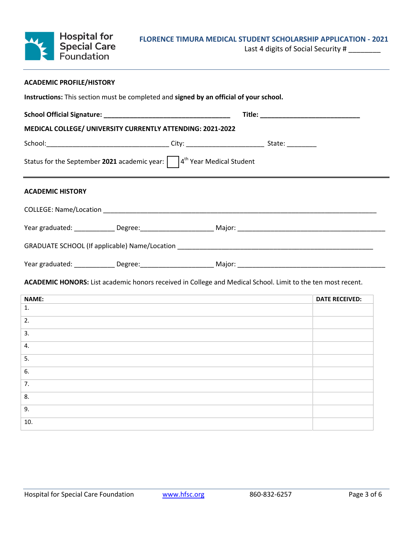

# **FLORENCE TIMURA MEDICAL STUDENT SCHOLARSHIP APPLICATION - 2021**

Last 4 digits of Social Security # \_\_\_\_\_\_\_\_

|                                                                                                                                                                                   | <b>ACADEMIC PROFILE/HISTORY</b>                                                                                                                 |  |                       |
|-----------------------------------------------------------------------------------------------------------------------------------------------------------------------------------|-------------------------------------------------------------------------------------------------------------------------------------------------|--|-----------------------|
| Instructions: This section must be completed and signed by an official of your school.                                                                                            |                                                                                                                                                 |  |                       |
|                                                                                                                                                                                   |                                                                                                                                                 |  |                       |
| MEDICAL COLLEGE/ UNIVERSITY CURRENTLY ATTENDING: 2021-2022                                                                                                                        |                                                                                                                                                 |  |                       |
|                                                                                                                                                                                   |                                                                                                                                                 |  |                       |
| Status for the September 2021 academic year: $ $ $ $ 4 <sup>th</sup> Year Medical Student                                                                                         |                                                                                                                                                 |  |                       |
| <b>ACADEMIC HISTORY</b>                                                                                                                                                           |                                                                                                                                                 |  |                       |
|                                                                                                                                                                                   |                                                                                                                                                 |  |                       |
|                                                                                                                                                                                   |                                                                                                                                                 |  |                       |
|                                                                                                                                                                                   |                                                                                                                                                 |  |                       |
|                                                                                                                                                                                   |                                                                                                                                                 |  |                       |
|                                                                                                                                                                                   |                                                                                                                                                 |  |                       |
|                                                                                                                                                                                   |                                                                                                                                                 |  |                       |
|                                                                                                                                                                                   | ,我们也不能在这里的时候,我们也不能会在这里,我们也不能会在这里的时候,我们也不能会在这里的时候,我们也不能会在这里的时候,我们也不能会在这里的时候,我们也不能                                                                |  | <b>DATE RECEIVED:</b> |
|                                                                                                                                                                                   |                                                                                                                                                 |  |                       |
|                                                                                                                                                                                   | ,我们也不能在这里的时候,我们也不能在这里的时候,我们也不能会不能会不能会不能会不能会不能会不能会不能会不能会不能会。<br>第2012章 我们的时候,我们的时候,我们的时候,我们的时候,我们的时候,我们的时候,我们的时候,我们的时候,我们的时候,我们的时候,我们的时候,我们的时候,我 |  |                       |
|                                                                                                                                                                                   |                                                                                                                                                 |  |                       |
|                                                                                                                                                                                   | the control of the control of the control of the control of the control of the control of                                                       |  |                       |
|                                                                                                                                                                                   |                                                                                                                                                 |  |                       |
|                                                                                                                                                                                   |                                                                                                                                                 |  |                       |
|                                                                                                                                                                                   |                                                                                                                                                 |  |                       |
|                                                                                                                                                                                   |                                                                                                                                                 |  |                       |
| ACADEMIC HONORS: List academic honors received in College and Medical School. Limit to the ten most recent.<br><b>NAME:</b><br>1.<br>2.<br>3.<br>4.<br>5.<br>6.<br>7.<br>8.<br>9. |                                                                                                                                                 |  |                       |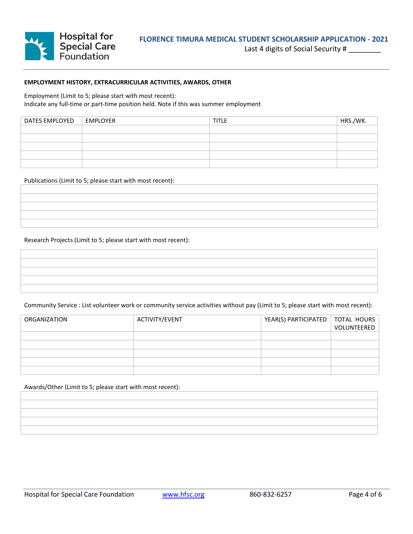

### **EMPLOYMENT HISTORY, EXTRACURRICULAR ACTIVITIES, AWARDS, OTHER**

Employment (Limit to 5; please start with most recent): Indicate any full-time or part-time position held. Note if this was summer employment

| DATES EMPLOYED | EMPLOYER | <b>TITLE</b> | HRS./WK. |
|----------------|----------|--------------|----------|
|                |          |              |          |
|                |          |              |          |
|                |          |              |          |
|                |          |              |          |
|                |          |              |          |

Publications (Limit to 5; please start with most recent):

#### Research Projects (Limit to 5; please start with most recent):

Community Service : List volunteer work or community service activities without pay (Limit to 5; please start with most recent):

| ORGANIZATION | ACTIVITY/EVENT | YEAR(S) PARTICIPATED   TOTAL HOURS | VOLUNTEERED |
|--------------|----------------|------------------------------------|-------------|
|              |                |                                    |             |
|              |                |                                    |             |
|              |                |                                    |             |
|              |                |                                    |             |
|              |                |                                    |             |

Awards/Other (Limit to 5; please start with most recent):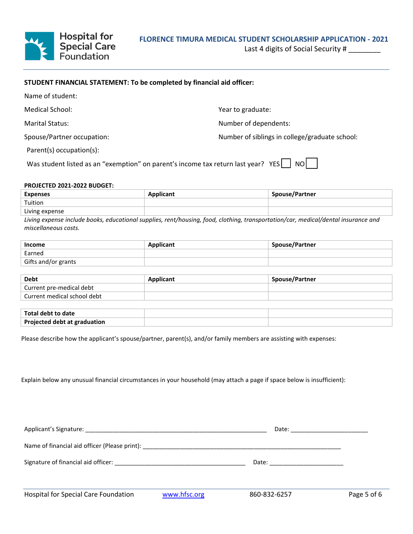

Last 4 digits of Social Security #

## **STUDENT FINANCIAL STATEMENT: To be completed by financial aid officer:**

| Name of student:                                                                  |                                                |
|-----------------------------------------------------------------------------------|------------------------------------------------|
| Medical School:                                                                   | Year to graduate:                              |
| <b>Marital Status:</b>                                                            | Number of dependents:                          |
| Spouse/Partner occupation:                                                        | Number of siblings in college/graduate school: |
| Parent(s) occupation(s):                                                          |                                                |
| Was student listed as an "exemption" on parent's income tax return last year? YES | NO.                                            |

#### **PROJECTED 2021-2022 BUDGET:**

| <b>Expenses</b> | <b>Applicant</b> | Spouse/Partner |
|-----------------|------------------|----------------|
| Tuition         |                  |                |
| Living expense  |                  |                |

*Living expense include books, educational supplies, rent/housing, food, clothing, transportation/car, medical/dental insurance and miscellaneous costs.*

| Income              | <b>Applicant</b> | <b>Spouse/Partner</b> |
|---------------------|------------------|-----------------------|
| Earned              |                  |                       |
| Gifts and/or grants |                  |                       |

| Debt                        | <b>Applicant</b> | Spouse/Partner |
|-----------------------------|------------------|----------------|
| Current pre-medical debt    |                  |                |
| Current medical school debt |                  |                |

| Total debt to date           |  |
|------------------------------|--|
| Projected debt at graduation |  |

Please describe how the applicant's spouse/partner, parent(s), and/or family members are assisting with expenses:

Explain below any unusual financial circumstances in your household (may attach a page if space below is insufficient):

|                                             |              | Date: ________________________ |             |
|---------------------------------------------|--------------|--------------------------------|-------------|
|                                             |              |                                |             |
|                                             |              | Date: ______________________   |             |
| <b>Hospital for Special Care Foundation</b> | www.hfsc.org | 860-832-6257                   | Page 5 of 6 |